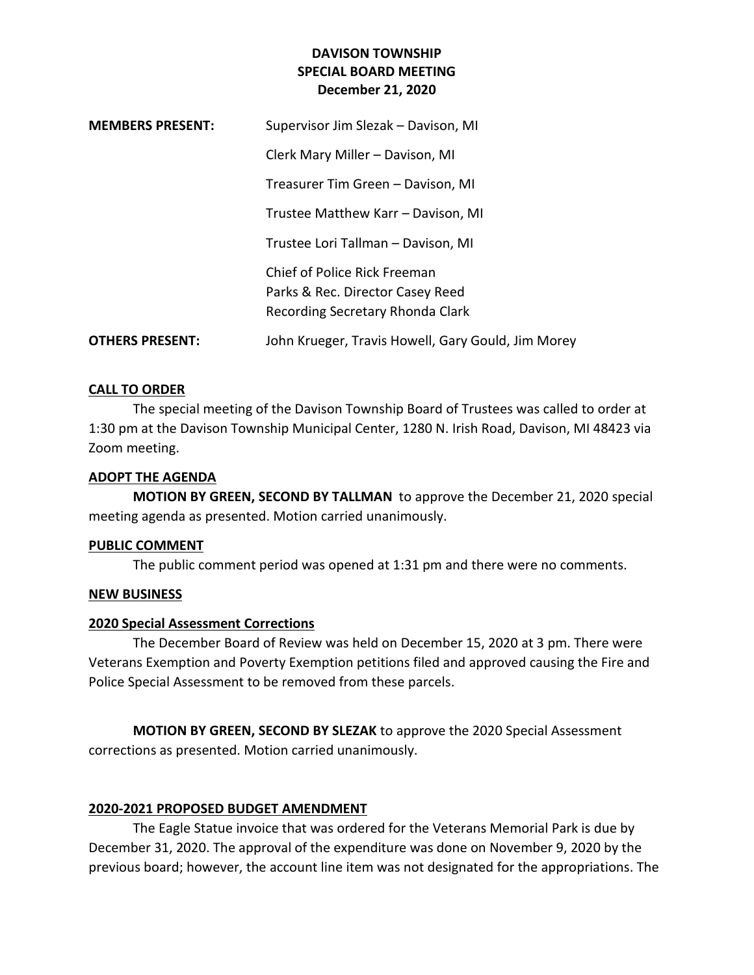# **DAVISON TOWNSHIP SPECIAL BOARD MEETING December 21, 2020**

| <b>MEMBERS PRESENT:</b> | Supervisor Jim Slezak – Davison, MI                              |
|-------------------------|------------------------------------------------------------------|
|                         | Clerk Mary Miller - Davison, MI                                  |
|                         | Treasurer Tim Green - Davison, MI                                |
|                         | Trustee Matthew Karr - Davison, MI                               |
|                         | Trustee Lori Tallman - Davison, MI                               |
|                         | Chief of Police Rick Freeman<br>Parks & Rec. Director Casey Reed |
|                         | Recording Secretary Rhonda Clark                                 |
| <b>OTHERS PRESENT:</b>  | John Krueger, Travis Howell, Gary Gould, Jim Morey               |

## **CALL TO ORDER**

The special meeting of the Davison Township Board of Trustees was called to order at 1:30 pm at the Davison Township Municipal Center, 1280 N. Irish Road, Davison, MI 48423 via Zoom meeting.

### **ADOPT THE AGENDA**

**MOTION BY GREEN, SECOND BY TALLMAN** to approve the December 21, 2020 special meeting agenda as presented. Motion carried unanimously.

#### **PUBLIC COMMENT**

The public comment period was opened at 1:31 pm and there were no comments.

### **NEW BUSINESS**

### **2020 Special Assessment Corrections**

The December Board of Review was held on December 15, 2020 at 3 pm. There were Veterans Exemption and Poverty Exemption petitions filed and approved causing the Fire and Police Special Assessment to be removed from these parcels.

**MOTION BY GREEN, SECOND BY SLEZAK** to approve the 2020 Special Assessment corrections as presented. Motion carried unanimously.

### **2020-2021 PROPOSED BUDGET AMENDMENT**

The Eagle Statue invoice that was ordered for the Veterans Memorial Park is due by December 31, 2020. The approval of the expenditure was done on November 9, 2020 by the previous board; however, the account line item was not designated for the appropriations. The